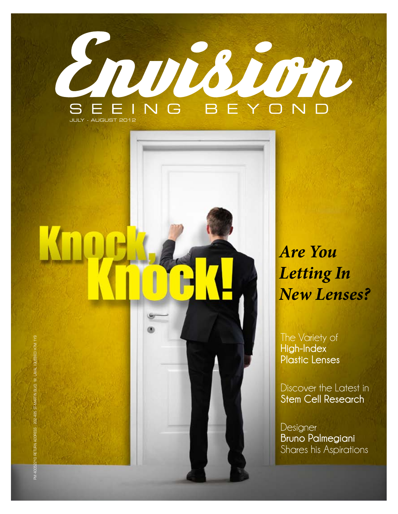



**Are You Letting In New Lenses?**

The Variety of **High-Index Plastic Lenses**

Discover the Latest in **Stem Cell Research**

Designer **Bruno Palmegiani**  Shares his Aspirations